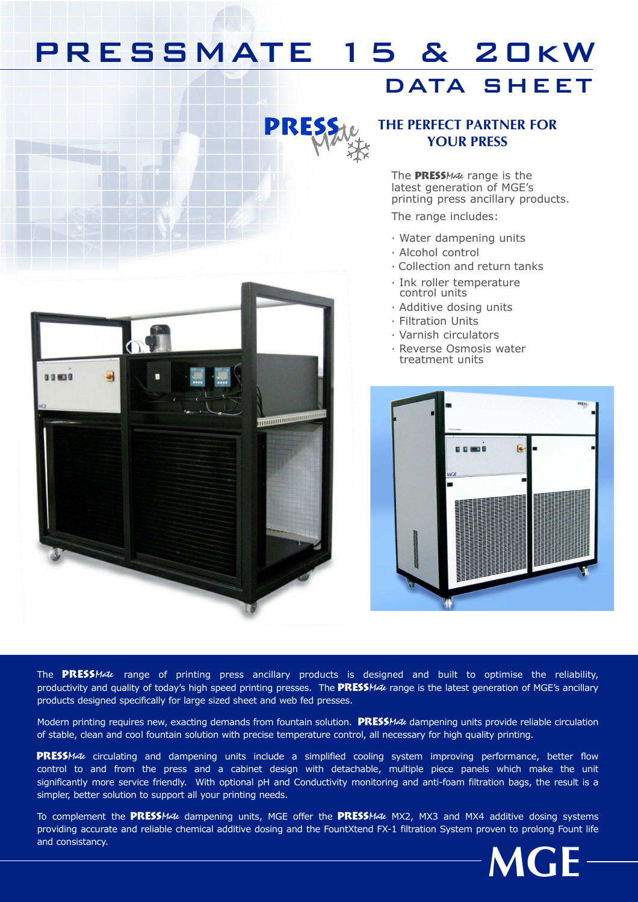## PRESSMATE 15 & 20kW

### DATA SHEET



00000

### THE PERFECT PARTNER FOR YOUR PRESS

The PRESSMate range is the latest generation of MGE's printing press ancillary products.

The range includes:

- · Water dampening units
- · Alcohol control
- · Collection and return tanks
- · Ink roller temperature control units
- · Additive dosing units
- · Filtration Units
- · Varnish circulators
- · Reverse Osmosis water treatment units



The PRESSMate range of printing press ancillary products is designed and built to optimise the reliability, productivity and quality of today's high speed printing presses. The **PRESS**Mate range is the latest generation of MGE's ancillary products designed specifically for large sized sheet and web fed presses.

**TURNADOR DE L'ANNE** 

Modern printing requires new, exacting demands from fountain solution. **PRESSMate** dampening units provide reliable circulation of stable, clean and cool fountain solution with precise temperature control, all necessary for high quality printing.

PRESSMate circulating and dampening units include a simplified cooling system improving performance, better flow control to and from the press and a cabinet design with detachable, multiple piece panels which make the unit significantly more service friendly. With optional pH and Conductivity monitoring and anti-foam filtration bags, the result is a simpler, better solution to support all your printing needs.

To complement the PRESSMate dampening units, MGE offer the PRESSMate MX2, MX3 and MX4 additive dosing systems providing accurate and reliable chemical additive dosing and the FountXtend FX-1 filtration System proven to prolong Fount life and consistancy.